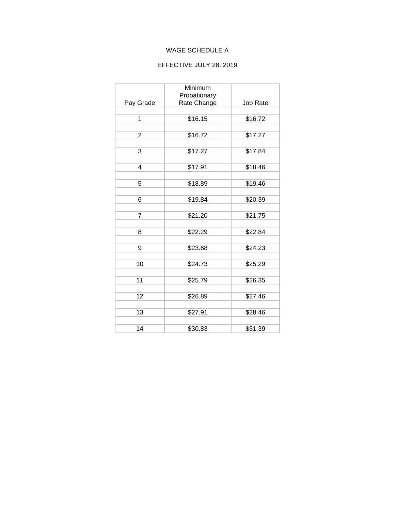### WAGE SCHEDULE A

# EFFECTIVE JULY 28, 2019

|                | Minimum<br>Probationary |          |
|----------------|-------------------------|----------|
| Pay Grade      | Rate Change             | Job Rate |
|                |                         |          |
| 1              | \$16.15                 | \$16.72  |
|                |                         |          |
| $\overline{c}$ | \$16.72                 | \$17.27  |
|                |                         |          |
| 3              | \$17.27                 | \$17.84  |
|                |                         |          |
| 4              | \$17.91                 | \$18.46  |
| 5              | \$18.89                 | \$19.46  |
|                |                         |          |
| 6              | \$19.84                 | \$20.39  |
|                |                         |          |
| 7              | \$21.20                 | \$21.75  |
|                |                         |          |
| 8              | \$22.29                 | \$22.84  |
|                |                         |          |
| 9              | \$23.68                 | \$24.23  |
| 10             | \$24.73                 | \$25.29  |
|                |                         |          |
| 11             | \$25.79                 | \$26.35  |
|                |                         |          |
| 12             | \$26.89                 | \$27.46  |
|                |                         |          |
| 13             | \$27.91                 | \$28.46  |
|                |                         |          |
| 14             | \$30.83                 | \$31.39  |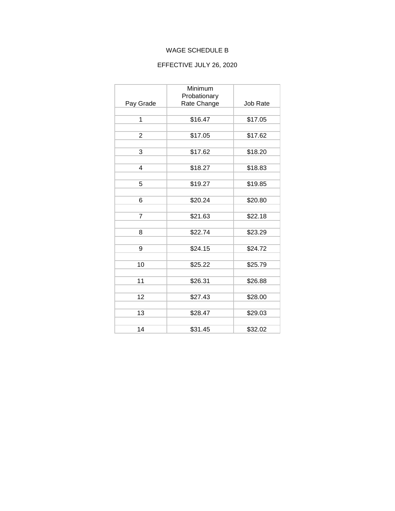### WAGE SCHEDULE B

# EFFECTIVE JULY 26, 2020

|                | Minimum      |          |
|----------------|--------------|----------|
|                | Probationary |          |
| Pay Grade      | Rate Change  | Job Rate |
|                |              |          |
| 1              | \$16.47      | \$17.05  |
|                |              |          |
| 2              | \$17.05      | \$17.62  |
|                |              |          |
| 3              | \$17.62      | \$18.20  |
|                |              |          |
| 4              | \$18.27      | \$18.83  |
| 5              | \$19.27      | \$19.85  |
|                |              |          |
| 6              | \$20.24      | \$20.80  |
|                |              |          |
| $\overline{7}$ | \$21.63      | \$22.18  |
|                |              |          |
| 8              | \$22.74      | \$23.29  |
|                |              |          |
| 9              | \$24.15      | \$24.72  |
|                |              |          |
| 10             | \$25.22      | \$25.79  |
| 11             | \$26.31      | \$26.88  |
|                |              |          |
| 12             | \$27.43      | \$28.00  |
|                |              |          |
| 13             | \$28.47      | \$29.03  |
|                |              |          |
| 14             | \$31.45      | \$32.02  |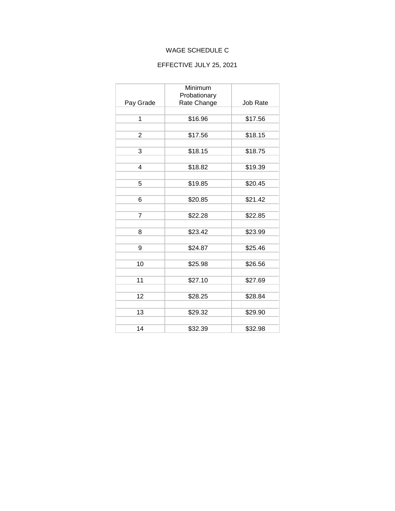## WAGE SCHEDULE C

# EFFECTIVE JULY 25, 2021

|                | Minimum<br>Probationary |          |
|----------------|-------------------------|----------|
| Pay Grade      | Rate Change             | Job Rate |
|                |                         |          |
| 1              | \$16.96                 | \$17.56  |
|                |                         |          |
| $\overline{2}$ | \$17.56                 | \$18.15  |
|                |                         |          |
| 3              | \$18.15                 | \$18.75  |
| 4              | \$18.82                 | \$19.39  |
|                |                         |          |
| 5              | \$19.85                 | \$20.45  |
| 6              | \$20.85                 | \$21.42  |
|                |                         |          |
| $\overline{7}$ | \$22.28                 | \$22.85  |
|                |                         |          |
| 8              | \$23.42                 | \$23.99  |
| 9              | \$24.87                 | \$25.46  |
|                |                         |          |
| 10             | \$25.98                 | \$26.56  |
|                |                         |          |
| 11             | \$27.10                 | \$27.69  |
|                |                         |          |
| 12             | \$28.25                 | \$28.84  |
| 13             | \$29.32                 | \$29.90  |
|                |                         |          |
| 14             | \$32.39                 | \$32.98  |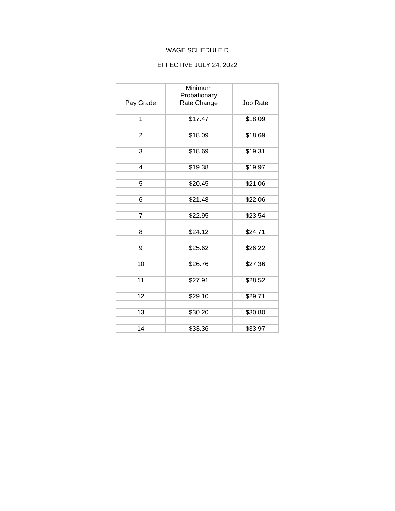#### WAGE SCHEDULE D

# EFFECTIVE JULY 24, 2022

|                | Minimum      |          |
|----------------|--------------|----------|
|                | Probationary |          |
| Pay Grade      | Rate Change  | Job Rate |
|                |              |          |
| 1              | \$17.47      | \$18.09  |
|                |              |          |
| 2              | \$18.09      | \$18.69  |
|                |              |          |
| 3              | \$18.69      | \$19.31  |
| 4              | \$19.38      | \$19.97  |
|                |              |          |
| 5              | \$20.45      | \$21.06  |
|                |              |          |
| 6              | \$21.48      | \$22.06  |
|                |              |          |
| $\overline{7}$ | \$22.95      | \$23.54  |
| 8              | \$24.12      | \$24.71  |
|                |              |          |
| 9              | \$25.62      | \$26.22  |
|                |              |          |
| 10             | \$26.76      | \$27.36  |
|                |              |          |
| 11             | \$27.91      | \$28.52  |
|                |              |          |
| 12             | \$29.10      | \$29.71  |
| 13             | \$30.20      | \$30.80  |
|                |              |          |
| 14             | \$33.36      | \$33.97  |
|                |              |          |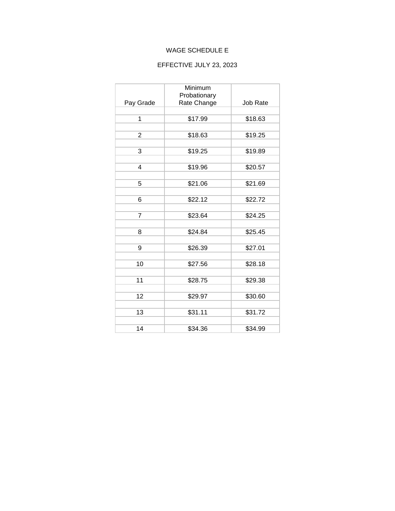### WAGE SCHEDULE E

# EFFECTIVE JULY 23, 2023

|                | Minimum      |          |
|----------------|--------------|----------|
|                | Probationary |          |
| Pay Grade      | Rate Change  | Job Rate |
|                |              |          |
| 1              | \$17.99      | \$18.63  |
|                |              |          |
| 2              | \$18.63      | \$19.25  |
|                |              |          |
| 3              | \$19.25      | \$19.89  |
| 4              | \$19.96      | \$20.57  |
|                |              |          |
| 5              | \$21.06      | \$21.69  |
|                |              |          |
| 6              | \$22.12      | \$22.72  |
|                |              |          |
| $\overline{7}$ | \$23.64      | \$24.25  |
| 8              | \$24.84      | \$25.45  |
|                |              |          |
| 9              | \$26.39      | \$27.01  |
|                |              |          |
| 10             | \$27.56      | \$28.18  |
|                |              |          |
| 11             | \$28.75      | \$29.38  |
|                |              |          |
| 12             | \$29.97      | \$30.60  |
| 13             | \$31.11      | \$31.72  |
|                |              |          |
| 14             | \$34.36      | \$34.99  |